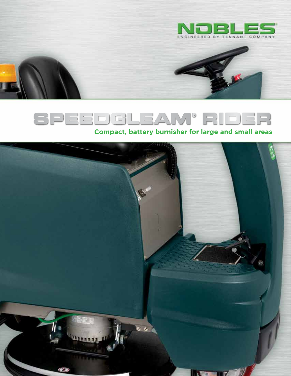

# SPEEDGLEAM® RIDER

### **Compact, battery burnisher for large and small areas**

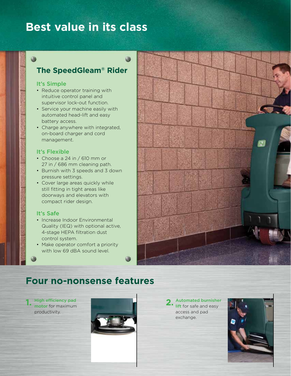## **Best value in its class**

### **The SpeedGleam® Rider**

### It's Simple

3b

- Reduce operator training with intuitive control panel and supervisor lock-out function.
- Service your machine easily with automated head-lift and easy battery access.
- Charge anywhere with integrated, on-board charger and cord management.

### It's Flexible

- Choose a 24 in / 610 mm or 27 in / 686 mm cleaning path.
- Burnish with 3 speeds and 3 down pressure settings.
- Cover large areas quickly while still fitting in tight areas like doorways and elevators with compact rider design.

### It's Safe

- Increase Indoor Environmental Quality (IEQ) with optional active, 4-stage HEPA filtration dust control system.
- Make operator comfort a priority with low 69 dBA sound level.



### **Four no-nonsense features**

**1.** High efficiency pad motor for maximum productivity.



**2.** Automated burnisher lift for safe and easy access and pad exchange.

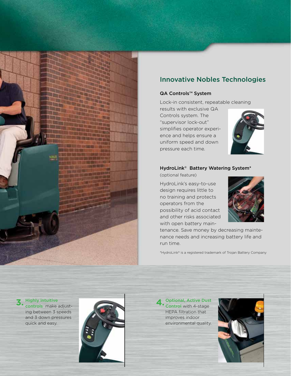

### Innovative Nobles Technologies

#### QA Controls™ System

Lock-in consistent, repeatable cleaning

results with exclusive QA Controls system. The "supervisor lock-out" simplifies operator experience and helps ensure a uniform speed and down pressure each time.



#### HydroLink® Battery Watering System\*

(optional feature)

HydroLink's easy-to-use design requires little to no training and protects operators from the possibility of acid contact and other risks associated with open battery main-



tenance. Save money by decreasing maintenance needs and increasing battery life and run time.

\*HydroLink® is a registered trademark of Trojan Battery Company

**3.** Highly intuitive

controls make adjusting between 3 speeds and 3 down pressures quick and easy.



**4.** Optional, Active Dust Control with 4-stage HEPA filtration that improves indoor environmental quality.